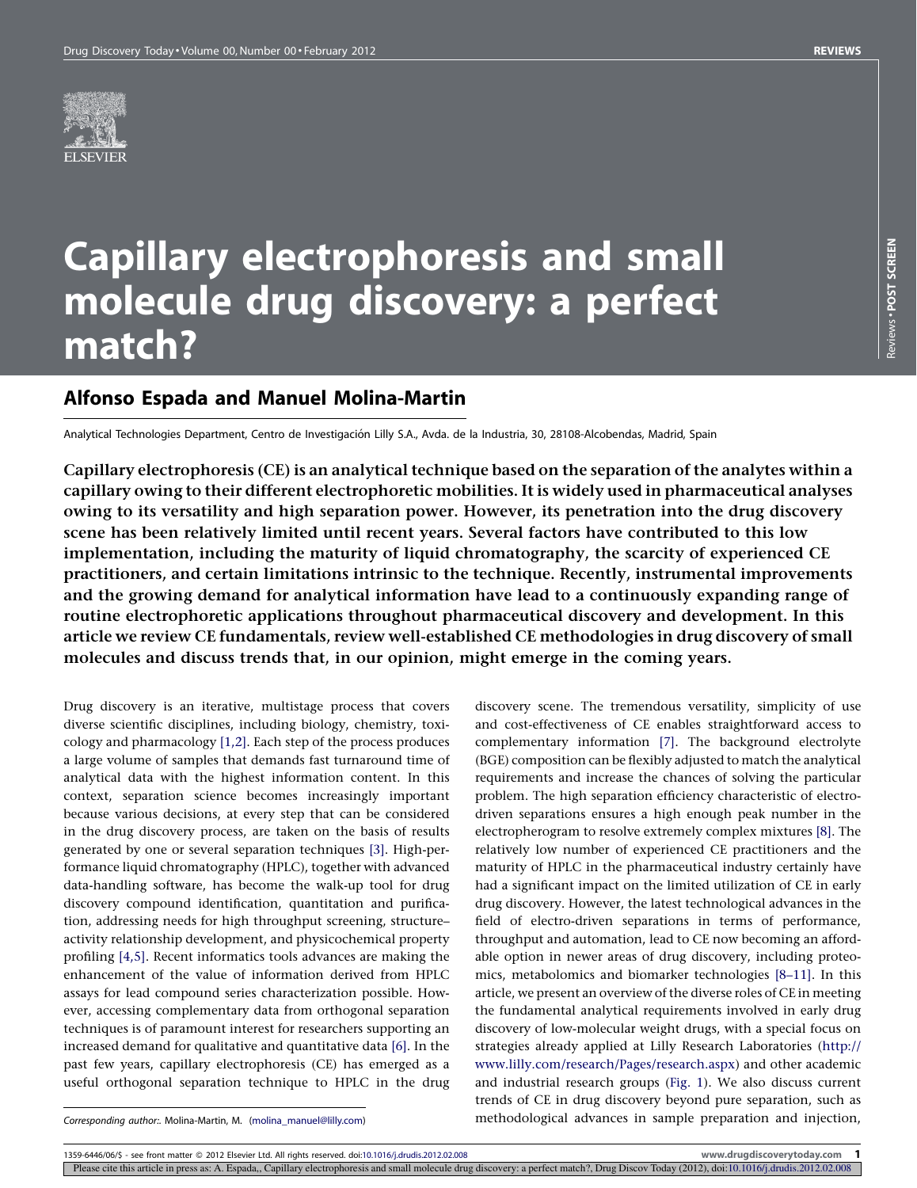

# Capillary electrophoresis and small molecule drug discovery: a perfect match?

# Alfonso Espada and Manuel Molina-Martin

Analytical Technologies Department, Centro de Investigación Lilly S.A., Avda. de la Industria, 30, 28108-Alcobendas, Madrid, Spain

Capillary electrophoresis (CE) is an analytical technique based on the separation of the analytes within a capillary owing to their different electrophoretic mobilities. It is widely used in pharmaceutical analyses owing to its versatility and high separation power. However, its penetration into the drug discovery scene has been relatively limited until recent years. Several factors have contributed to this low implementation, including the maturity of liquid chromatography, the scarcity of experienced CE practitioners, and certain limitations intrinsic to the technique. Recently, instrumental improvements and the growing demand for analytical information have lead to a continuously expanding range of routine electrophoretic applications throughout pharmaceutical discovery and development. In this article we review CE fundamentals, review well-established CE methodologies in drug discovery of small molecules and discuss trends that, in our opinion, might emerge in the coming years.

Drug discovery is an iterative, multistage process that covers diverse scientific disciplines, including biology, chemistry, toxicology and pharmacology [\[1,2\].](#page-6-0) Each step of the process produces a large volume of samples that demands fast turnaround time of analytical data with the highest information content. In this context, separation science becomes increasingly important because various decisions, at every step that can be considered in the drug discovery process, are taken on the basis of results generated by one or several separation techniques [\[3\]](#page-7-0). High-performance liquid chromatography (HPLC), together with advanced data-handling software, has become the walk-up tool for drug discovery compound identification, quantitation and purification, addressing needs for high throughput screening, structure– activity relationship development, and physicochemical property profiling [\[4,5\]](#page-7-0). Recent informatics tools advances are making the enhancement of the value of information derived from HPLC assays for lead compound series characterization possible. However, accessing complementary data from orthogonal separation techniques is of paramount interest for researchers supporting an increased demand for qualitative and quantitative data [\[6\].](#page-7-0) In the past few years, capillary electrophoresis (CE) has emerged as a useful orthogonal separation technique to HPLC in the drug discovery scene. The tremendous versatility, simplicity of use and cost-effectiveness of CE enables straightforward access to complementary information [\[7\]](#page-7-0). The background electrolyte (BGE) composition can be flexibly adjusted to match the analytical requirements and increase the chances of solving the particular problem. The high separation efficiency characteristic of electrodriven separations ensures a high enough peak number in the electropherogram to resolve extremely complex mixtures [\[8\].](#page-7-0) The relatively low number of experienced CE practitioners and the maturity of HPLC in the pharmaceutical industry certainly have had a significant impact on the limited utilization of CE in early drug discovery. However, the latest technological advances in the field of electro-driven separations in terms of performance, throughput and automation, lead to CE now becoming an affordable option in newer areas of drug discovery, including proteomics, metabolomics and biomarker technologies [\[8–11\]](#page-7-0). In this article, we present an overview of the diverse roles of CE in meeting the fundamental analytical requirements involved in early drug discovery of low-molecular weight drugs, with a special focus on strategies already applied at Lilly Research Laboratories [\(http://](http://www.lilly.com/research/Pages/research.aspx) [www.lilly.com/research/Pages/research.aspx](http://www.lilly.com/research/Pages/research.aspx)) and other academic and industrial research groups ([Fig.](#page-1-0) 1). We also discuss current trends of CE in drug discovery beyond pure separation, such as methodological advances in sample preparation and injection,

Reviews -

POST SCREEN

eviews . POST SCREEN

1359-6446/06/\$ - see front matter © 2012 Elsevier Ltd. All rights reserved. doi:[10.1016/j.drudis.2012.02.008](http://dx.doi.org/10.1016/j.drudis.2012.02.008) www.drugdiscoverytoday.com 1

Please cite this article in press as: A. Espada,, Capillary electrophoresis and small molecule drug discovery: a perfect match?, Drug Discov Today (2012), doi[:10.1016/j.drudis.2012.02.008](http://dx.doi.org/10.1016/j.drudis.2012.02.008)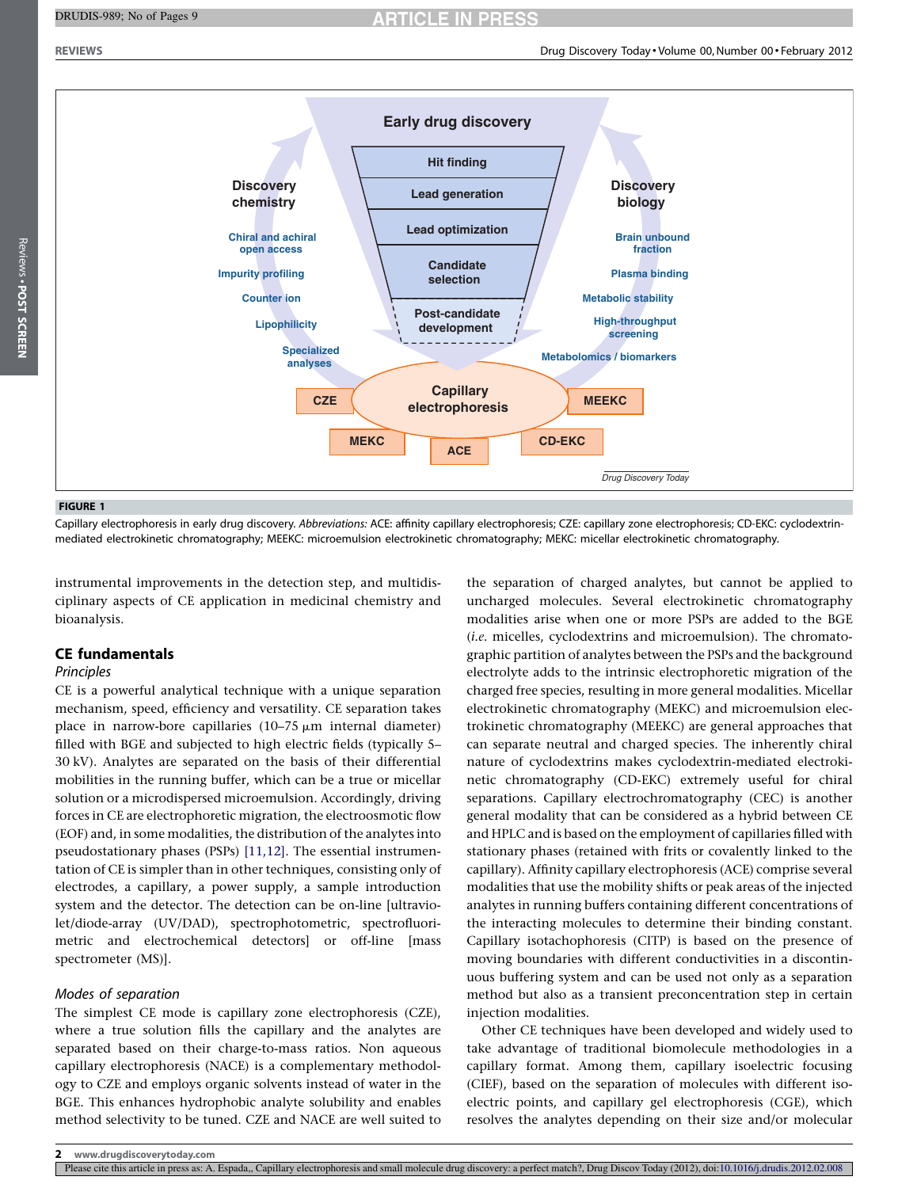<span id="page-1-0"></span>

FIGURE 1

Capillary electrophoresis in early drug discovery. Abbreviations: ACE: affinity capillary electrophoresis; CZE: capillary zone electrophoresis; CD-EKC: cyclodextrinmediated electrokinetic chromatography; MEEKC: microemulsion electrokinetic chromatography; MEKC: micellar electrokinetic chromatography.

instrumental improvements in the detection step, and multidisciplinary aspects of CE application in medicinal chemistry and bioanalysis.

#### CE fundamentals

#### Principles

CE is a powerful analytical technique with a unique separation mechanism, speed, efficiency and versatility. CE separation takes place in narrow-bore capillaries  $(10-75 \mu m)$  internal diameter) filled with BGE and subjected to high electric fields (typically 5– 30 kV). Analytes are separated on the basis of their differential mobilities in the running buffer, which can be a true or micellar solution or a microdispersed microemulsion. Accordingly, driving forces in CE are electrophoretic migration, the electroosmotic flow (EOF) and, in some modalities, the distribution of the analytes into pseudostationary phases (PSPs) [\[11,12\].](#page-7-0) The essential instrumentation of CE is simpler than in other techniques, consisting only of electrodes, a capillary, a power supply, a sample introduction system and the detector. The detection can be on-line [ultraviolet/diode-array (UV/DAD), spectrophotometric, spectrofluorimetric and electrochemical detectors] or off-line [mass spectrometer (MS)].

#### Modes of separation

The simplest CE mode is capillary zone electrophoresis (CZE), where a true solution fills the capillary and the analytes are separated based on their charge-to-mass ratios. Non aqueous capillary electrophoresis (NACE) is a complementary methodology to CZE and employs organic solvents instead of water in the BGE. This enhances hydrophobic analyte solubility and enables method selectivity to be tuned. CZE and NACE are well suited to

the separation of charged analytes, but cannot be applied to uncharged molecules. Several electrokinetic chromatography modalities arise when one or more PSPs are added to the BGE (i.e. micelles, cyclodextrins and microemulsion). The chromatographic partition of analytes between the PSPs and the background electrolyte adds to the intrinsic electrophoretic migration of the charged free species, resulting in more general modalities. Micellar electrokinetic chromatography (MEKC) and microemulsion electrokinetic chromatography (MEEKC) are general approaches that can separate neutral and charged species. The inherently chiral nature of cyclodextrins makes cyclodextrin-mediated electrokinetic chromatography (CD-EKC) extremely useful for chiral separations. Capillary electrochromatography (CEC) is another general modality that can be considered as a hybrid between CE and HPLC and is based on the employment of capillaries filled with stationary phases (retained with frits or covalently linked to the capillary). Affinity capillary electrophoresis (ACE) comprise several modalities that use the mobility shifts or peak areas of the injected analytes in running buffers containing different concentrations of the interacting molecules to determine their binding constant. Capillary isotachophoresis (CITP) is based on the presence of moving boundaries with different conductivities in a discontinuous buffering system and can be used not only as a separation method but also as a transient preconcentration step in certain injection modalities.

Other CE techniques have been developed and widely used to take advantage of traditional biomolecule methodologies in a capillary format. Among them, capillary isoelectric focusing (CIEF), based on the separation of molecules with different isoelectric points, and capillary gel electrophoresis (CGE), which resolves the analytes depending on their size and/or molecular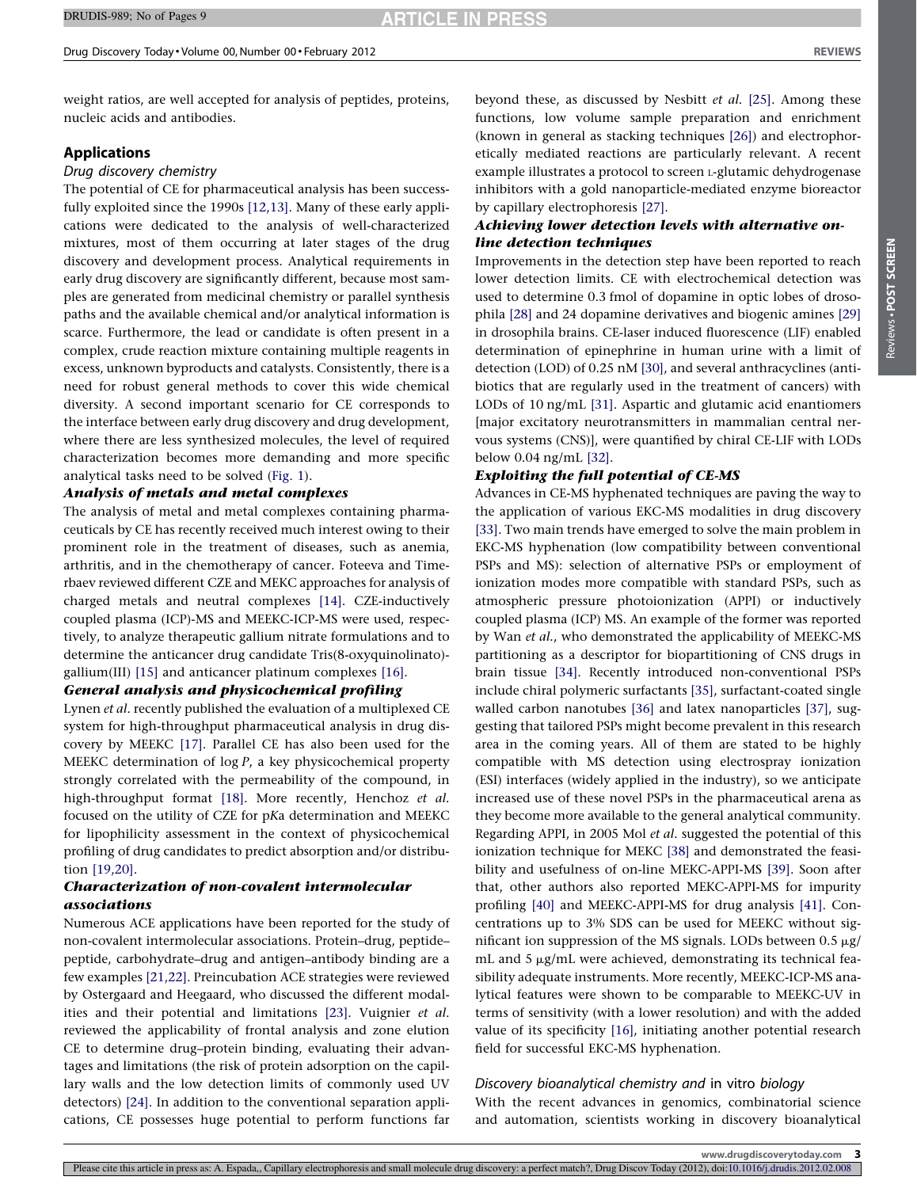## **ARTICLE IN PRESS**

weight ratios, are well accepted for analysis of peptides, proteins, nucleic acids and antibodies.

#### Applications

#### Drug discovery chemistry

The potential of CE for pharmaceutical analysis has been successfully exploited since the 1990s [\[12,13\].](#page-7-0) Many of these early applications were dedicated to the analysis of well-characterized mixtures, most of them occurring at later stages of the drug discovery and development process. Analytical requirements in early drug discovery are significantly different, because most samples are generated from medicinal chemistry or parallel synthesis paths and the available chemical and/or analytical information is scarce. Furthermore, the lead or candidate is often present in a complex, crude reaction mixture containing multiple reagents in excess, unknown byproducts and catalysts. Consistently, there is a need for robust general methods to cover this wide chemical diversity. A second important scenario for CE corresponds to the interface between early drug discovery and drug development, where there are less synthesized molecules, the level of required characterization becomes more demanding and more specific analytical tasks need to be solved ([Fig.](#page-1-0) 1).

#### Analysis of metals and metal complexes

The analysis of metal and metal complexes containing pharmaceuticals by CE has recently received much interest owing to their prominent role in the treatment of diseases, such as anemia, arthritis, and in the chemotherapy of cancer. Foteeva and Timerbaev reviewed different CZE and MEKC approaches for analysis of charged metals and neutral complexes [\[14\].](#page-7-0) CZE-inductively coupled plasma (ICP)-MS and MEEKC-ICP-MS were used, respectively, to analyze therapeutic gallium nitrate formulations and to determine the anticancer drug candidate Tris(8-oxyquinolinato) gallium(III) [\[15\]](#page-7-0) and anticancer platinum complexes [\[16\]](#page-7-0).

#### General analysis and physicochemical profiling

Lynen et al. recently published the evaluation of a multiplexed CE system for high-throughput pharmaceutical analysis in drug discovery by MEEKC [\[17\]](#page-7-0). Parallel CE has also been used for the MEEKC determination of  $\log P$ , a key physicochemical property strongly correlated with the permeability of the compound, in high-throughput format [\[18\]](#page-7-0). More recently, Henchoz et al. focused on the utility of CZE for pKa determination and MEEKC for lipophilicity assessment in the context of physicochemical profiling of drug candidates to predict absorption and/or distribution [\[19,20\]](#page-7-0).

## Characterization of non-covalent intermolecular associations

Numerous ACE applications have been reported for the study of non-covalent intermolecular associations. Protein–drug, peptide– peptide, carbohydrate–drug and antigen–antibody binding are a few examples [\[21,22\].](#page-7-0) Preincubation ACE strategies were reviewed by Ostergaard and Heegaard, who discussed the different modalities and their potential and limitations [\[23\].](#page-7-0) Vuignier et al. reviewed the applicability of frontal analysis and zone elution CE to determine drug–protein binding, evaluating their advantages and limitations (the risk of protein adsorption on the capillary walls and the low detection limits of commonly used UV detectors) [\[24\]](#page-7-0). In addition to the conventional separation applications, CE possesses huge potential to perform functions far beyond these, as discussed by Nesbitt et al. [\[25\]](#page-7-0). Among these functions, low volume sample preparation and enrichment (known in general as stacking techniques [\[26\]\)](#page-7-0) and electrophoretically mediated reactions are particularly relevant. A recent example illustrates a protocol to screen L-glutamic dehydrogenase inhibitors with a gold nanoparticle-mediated enzyme bioreactor by capillary electrophoresis [\[27\]](#page-7-0).

## Achieving lower detection levels with alternative online detection techniques

Improvements in the detection step have been reported to reach lower detection limits. CE with electrochemical detection was used to determine 0.3 fmol of dopamine in optic lobes of drosophila [\[28\]](#page-7-0) and 24 dopamine derivatives and biogenic amines [\[29\]](#page-7-0) in drosophila brains. CE-laser induced fluorescence (LIF) enabled determination of epinephrine in human urine with a limit of detection (LOD) of 0.25 nM [\[30\],](#page-7-0) and several anthracyclines (antibiotics that are regularly used in the treatment of cancers) with LODs of 10 ng/mL [\[31\]](#page-7-0). Aspartic and glutamic acid enantiomers [major excitatory neurotransmitters in mammalian central nervous systems (CNS)], were quantified by chiral CE-LIF with LODs below 0.04 ng/mL [\[32\]](#page-7-0).

## Exploiting the full potential of CE-MS

Advances in CE-MS hyphenated techniques are paving the way to the application of various EKC-MS modalities in drug discovery [\[33\].](#page-7-0) Two main trends have emerged to solve the main problem in EKC-MS hyphenation (low compatibility between conventional PSPs and MS): selection of alternative PSPs or employment of ionization modes more compatible with standard PSPs, such as atmospheric pressure photoionization (APPI) or inductively coupled plasma (ICP) MS. An example of the former was reported by Wan et al., who demonstrated the applicability of MEEKC-MS partitioning as a descriptor for biopartitioning of CNS drugs in brain tissue [\[34\].](#page-7-0) Recently introduced non-conventional PSPs include chiral polymeric surfactants [\[35\],](#page-7-0) surfactant-coated single walled carbon nanotubes [\[36\]](#page-7-0) and latex nanoparticles [\[37\],](#page-7-0) suggesting that tailored PSPs might become prevalent in this research area in the coming years. All of them are stated to be highly compatible with MS detection using electrospray ionization (ESI) interfaces (widely applied in the industry), so we anticipate increased use of these novel PSPs in the pharmaceutical arena as they become more available to the general analytical community. Regarding APPI, in 2005 Mol et al. suggested the potential of this ionization technique for MEKC [\[38\]](#page-7-0) and demonstrated the feasibility and usefulness of on-line MEKC-APPI-MS [\[39\]](#page-7-0). Soon after that, other authors also reported MEKC-APPI-MS for impurity profiling [\[40\]](#page-7-0) and MEEKC-APPI-MS for drug analysis [\[41\].](#page-7-0) Concentrations up to 3% SDS can be used for MEEKC without significant ion suppression of the MS signals. LODs between  $0.5 \mu$ g/ mL and 5  $\mu$ g/mL were achieved, demonstrating its technical feasibility adequate instruments. More recently, MEEKC-ICP-MS analytical features were shown to be comparable to MEEKC-UV in terms of sensitivity (with a lower resolution) and with the added value of its specificity [\[16\],](#page-7-0) initiating another potential research field for successful EKC-MS hyphenation.

#### Discovery bioanalytical chemistry and in vitro biology

With the recent advances in genomics, combinatorial science and automation, scientists working in discovery bioanalytical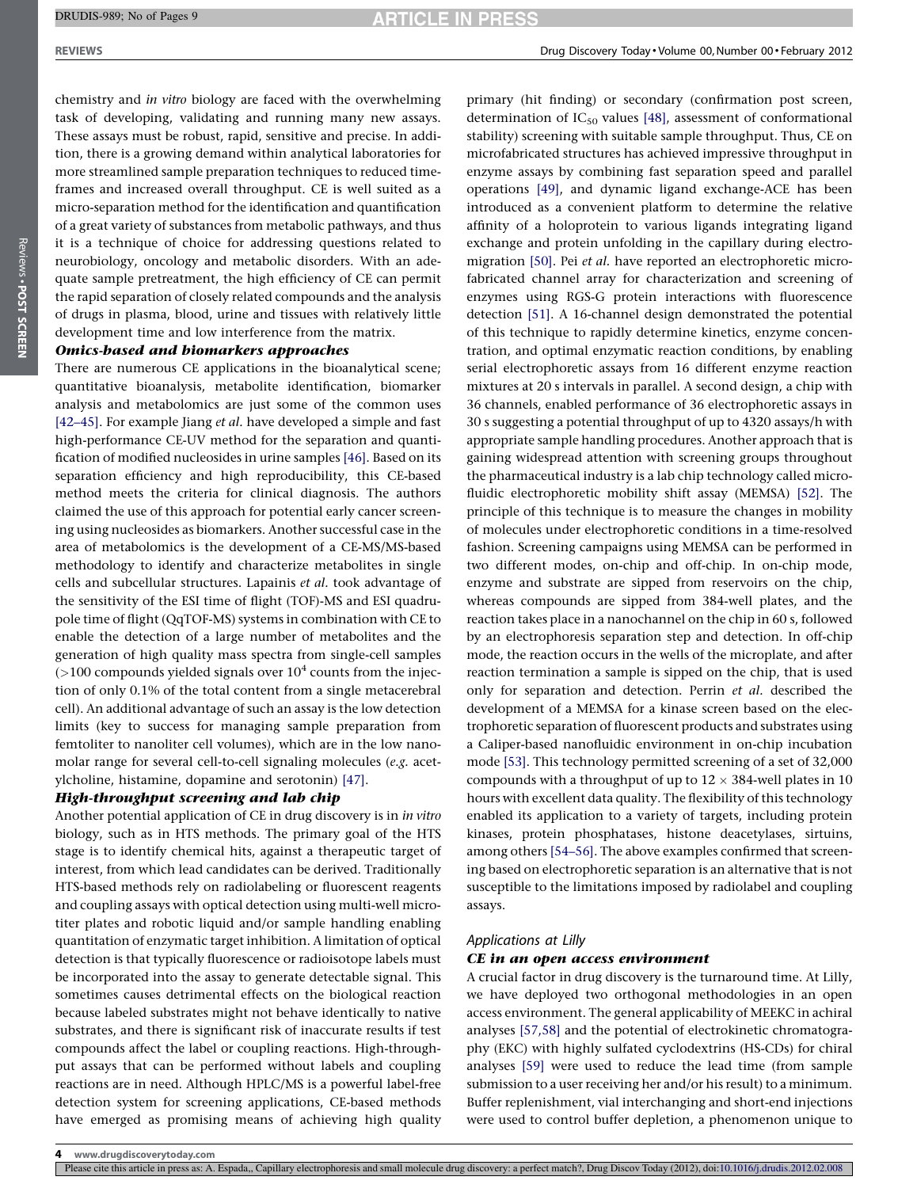chemistry and in vitro biology are faced with the overwhelming task of developing, validating and running many new assays. These assays must be robust, rapid, sensitive and precise. In addition, there is a growing demand within analytical laboratories for more streamlined sample preparation techniques to reduced timeframes and increased overall throughput. CE is well suited as a micro-separation method for the identification and quantification of a great variety of substances from metabolic pathways, and thus it is a technique of choice for addressing questions related to neurobiology, oncology and metabolic disorders. With an adequate sample pretreatment, the high efficiency of CE can permit the rapid separation of closely related compounds and the analysis of drugs in plasma, blood, urine and tissues with relatively little development time and low interference from the matrix.

## Omics-based and biomarkers approaches

There are numerous CE applications in the bioanalytical scene; quantitative bioanalysis, metabolite identification, biomarker analysis and metabolomics are just some of the common uses [42-45]. For example Jiang et al. have developed a simple and fast high-performance CE-UV method for the separation and quantification of modified nucleosides in urine samples [\[46\].](#page-7-0) Based on its separation efficiency and high reproducibility, this CE-based method meets the criteria for clinical diagnosis. The authors claimed the use of this approach for potential early cancer screening using nucleosides as biomarkers. Another successful case in the area of metabolomics is the development of a CE-MS/MS-based methodology to identify and characterize metabolites in single cells and subcellular structures. Lapainis et al. took advantage of the sensitivity of the ESI time of flight (TOF)-MS and ESI quadrupole time of flight (QqTOF-MS) systems in combination with CE to enable the detection of a large number of metabolites and the generation of high quality mass spectra from single-cell samples  $(>100$  compounds yielded signals over  $10<sup>4</sup>$  counts from the injection of only 0.1% of the total content from a single metacerebral cell). An additional advantage of such an assay is the low detection limits (key to success for managing sample preparation from femtoliter to nanoliter cell volumes), which are in the low nanomolar range for several cell-to-cell signaling molecules (e.g. acetylcholine, histamine, dopamine and serotonin) [\[47\]](#page-7-0).

#### High-throughput screening and lab chip

Another potential application of CE in drug discovery is in in vitro biology, such as in HTS methods. The primary goal of the HTS stage is to identify chemical hits, against a therapeutic target of interest, from which lead candidates can be derived. Traditionally HTS-based methods rely on radiolabeling or fluorescent reagents and coupling assays with optical detection using multi-well microtiter plates and robotic liquid and/or sample handling enabling quantitation of enzymatic target inhibition. A limitation of optical detection is that typically fluorescence or radioisotope labels must be incorporated into the assay to generate detectable signal. This sometimes causes detrimental effects on the biological reaction because labeled substrates might not behave identically to native substrates, and there is significant risk of inaccurate results if test compounds affect the label or coupling reactions. High-throughput assays that can be performed without labels and coupling reactions are in need. Although HPLC/MS is a powerful label-free detection system for screening applications, CE-based methods have emerged as promising means of achieving high quality

primary (hit finding) or secondary (confirmation post screen, determination of  $IC_{50}$  values [\[48\]](#page-7-0), assessment of conformational stability) screening with suitable sample throughput. Thus, CE on microfabricated structures has achieved impressive throughput in enzyme assays by combining fast separation speed and parallel operations [\[49\],](#page-7-0) and dynamic ligand exchange-ACE has been introduced as a convenient platform to determine the relative affinity of a holoprotein to various ligands integrating ligand exchange and protein unfolding in the capillary during electromigration [\[50\]](#page-7-0). Pei et al. have reported an electrophoretic microfabricated channel array for characterization and screening of enzymes using RGS-G protein interactions with fluorescence detection [\[51\].](#page-7-0) A 16-channel design demonstrated the potential of this technique to rapidly determine kinetics, enzyme concentration, and optimal enzymatic reaction conditions, by enabling serial electrophoretic assays from 16 different enzyme reaction mixtures at 20 s intervals in parallel. A second design, a chip with 36 channels, enabled performance of 36 electrophoretic assays in 30 s suggesting a potential throughput of up to 4320 assays/h with appropriate sample handling procedures. Another approach that is gaining widespread attention with screening groups throughout the pharmaceutical industry is a lab chip technology called microfluidic electrophoretic mobility shift assay (MEMSA) [\[52\].](#page-7-0) The principle of this technique is to measure the changes in mobility of molecules under electrophoretic conditions in a time-resolved fashion. Screening campaigns using MEMSA can be performed in two different modes, on-chip and off-chip. In on-chip mode, enzyme and substrate are sipped from reservoirs on the chip, whereas compounds are sipped from 384-well plates, and the reaction takes place in a nanochannel on the chip in 60 s, followed by an electrophoresis separation step and detection. In off-chip mode, the reaction occurs in the wells of the microplate, and after reaction termination a sample is sipped on the chip, that is used only for separation and detection. Perrin et al. described the development of a MEMSA for a kinase screen based on the electrophoretic separation of fluorescent products and substrates using a Caliper-based nanofluidic environment in on-chip incubation mode [\[53\].](#page-7-0) This technology permitted screening of a set of 32,000 compounds with a throughput of up to  $12 \times 384$ -well plates in 10 hours with excellent data quality. The flexibility of this technology enabled its application to a variety of targets, including protein kinases, protein phosphatases, histone deacetylases, sirtuins, among others [\[54–56\].](#page-7-0) The above examples confirmed that screening based on electrophoretic separation is an alternative that is not susceptible to the limitations imposed by radiolabel and coupling assays.

## Applications at Lilly

## CE in an open access environment

A crucial factor in drug discovery is the turnaround time. At Lilly, we have deployed two orthogonal methodologies in an open access environment. The general applicability of MEEKC in achiral analyses [\[57,58\]](#page-7-0) and the potential of electrokinetic chromatography (EKC) with highly sulfated cyclodextrins (HS-CDs) for chiral analyses [\[59\]](#page-7-0) were used to reduce the lead time (from sample submission to a user receiving her and/or his result) to a minimum. Buffer replenishment, vial interchanging and short-end injections were used to control buffer depletion, a phenomenon unique to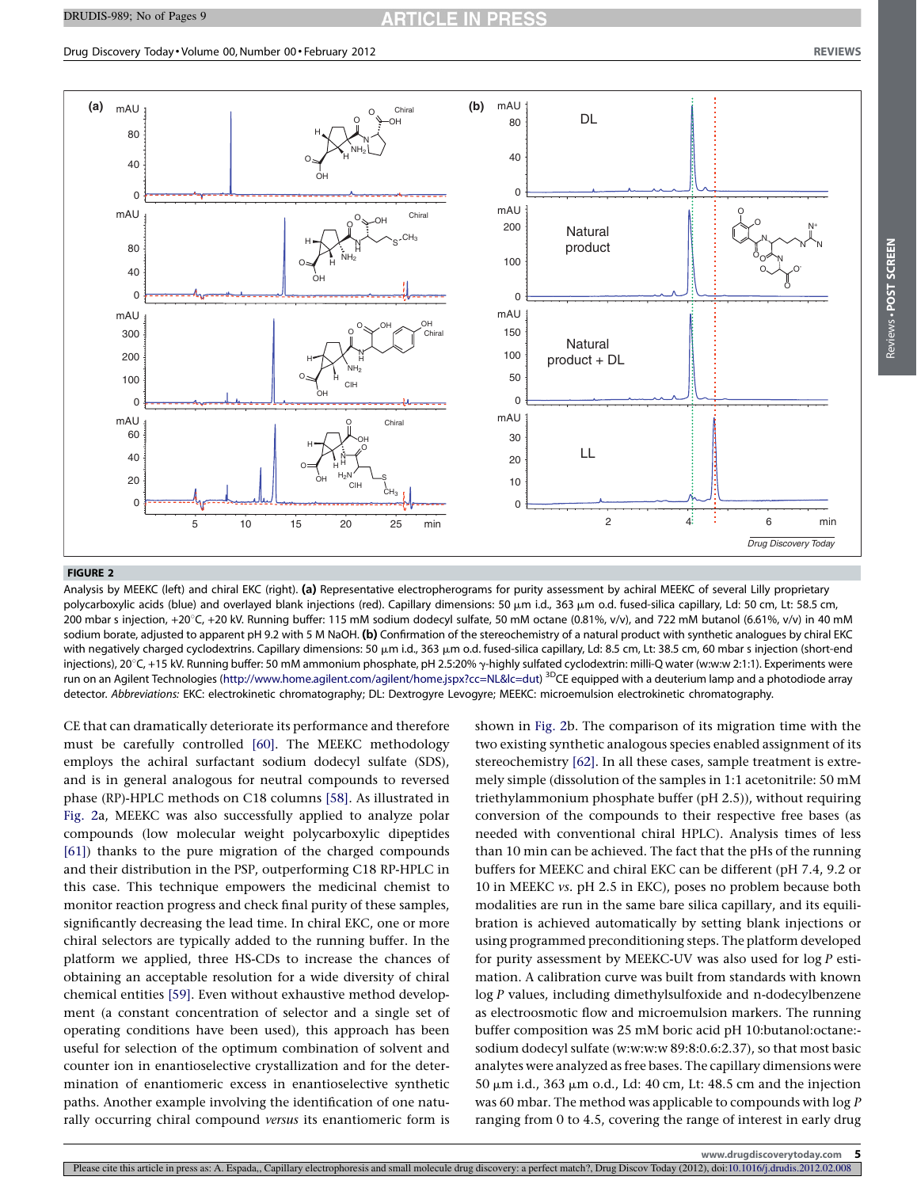mAU

80

DL

**(a) (b)** mAU

O

OH Chira





#### FIGURE 2

Analysis by MEEKC (left) and chiral EKC (right). (a) Representative electropherograms for purity assessment by achiral MEEKC of several Lilly proprietary polycarboxylic acids (blue) and overlayed blank injections (red). Capillary dimensions: 50 µm i.d., 363 µm o.d. fused-silica capillary, Ld: 50 cm, Lt: 58.5 cm, 200 mbar s injection, +20°C, +20 kV. Running buffer: 115 mM sodium dodecyl sulfate, 50 mM octane (0.81%, v/v), and 722 mM butanol (6.61%, v/v) in 40 mM sodium borate, adjusted to apparent pH 9.2 with 5 M NaOH. (b) Confirmation of the stereochemistry of a natural product with synthetic analogues by chiral EKC with negatively charged cyclodextrins. Capillary dimensions: 50 µm i.d., 363 µm o.d. fused-silica capillary, Ld: 8.5 cm, Lt: 38.5 cm, 60 mbar s injection (short-end injections), 20°C, +15 kV. Running buffer: 50 mM ammonium phosphate, pH 2.5:20% y-highly sulfated cyclodextrin: milli-Q water (w:w:w 2:1:1). Experiments were run on an Agilent Technologies [\(http://www.home.agilent.com/agilent/home.jspx?cc=NL&lc=dut](http://www.home.agilent.com/agilent/home.jspx%3Fcc=NL%26lc=dut)) <sup>3D</sup>CE equipped with a deuterium lamp and a photodiode array detector. Abbreviations: EKC: electrokinetic chromatography; DL: Dextrogyre Levogyre; MEEKC: microemulsion electrokinetic chromatography.

CE that can dramatically deteriorate its performance and therefore must be carefully controlled [\[60\].](#page-8-0) The MEEKC methodology employs the achiral surfactant sodium dodecyl sulfate (SDS), and is in general analogous for neutral compounds to reversed phase (RP)-HPLC methods on C18 columns [\[58\].](#page-7-0) As illustrated in Fig. 2a, MEEKC was also successfully applied to analyze polar compounds (low molecular weight polycarboxylic dipeptides [\[61\]\)](#page-8-0) thanks to the pure migration of the charged compounds and their distribution in the PSP, outperforming C18 RP-HPLC in this case. This technique empowers the medicinal chemist to monitor reaction progress and check final purity of these samples, significantly decreasing the lead time. In chiral EKC, one or more chiral selectors are typically added to the running buffer. In the platform we applied, three HS-CDs to increase the chances of obtaining an acceptable resolution for a wide diversity of chiral chemical entities [\[59\].](#page-7-0) Even without exhaustive method development (a constant concentration of selector and a single set of operating conditions have been used), this approach has been useful for selection of the optimum combination of solvent and counter ion in enantioselective crystallization and for the determination of enantiomeric excess in enantioselective synthetic paths. Another example involving the identification of one naturally occurring chiral compound versus its enantiomeric form is

shown in Fig. 2b. The comparison of its migration time with the two existing synthetic analogous species enabled assignment of its stereochemistry [\[62\].](#page-8-0) In all these cases, sample treatment is extremely simple (dissolution of the samples in 1:1 acetonitrile: 50 mM triethylammonium phosphate buffer (pH 2.5)), without requiring conversion of the compounds to their respective free bases (as needed with conventional chiral HPLC). Analysis times of less than 10 min can be achieved. The fact that the pHs of the running buffers for MEEKC and chiral EKC can be different (pH 7.4, 9.2 or 10 in MEEKC vs. pH 2.5 in EKC), poses no problem because both modalities are run in the same bare silica capillary, and its equilibration is achieved automatically by setting blank injections or using programmed preconditioning steps. The platform developed for purity assessment by MEEKC-UV was also used for log P estimation. A calibration curve was built from standards with known log P values, including dimethylsulfoxide and n-dodecylbenzene as electroosmotic flow and microemulsion markers. The running buffer composition was 25 mM boric acid pH 10:butanol:octane: sodium dodecyl sulfate (w:w:w:w 89:8:0.6:2.37), so that most basic analytes were analyzed as free bases. The capillary dimensions were 50  $\mu$ m i.d., 363  $\mu$ m o.d., Ld: 40 cm, Lt: 48.5 cm and the injection was 60 mbar. The method was applicable to compounds with log P ranging from 0 to 4.5, covering the range of interest in early drug

Please cite this article in press as: A. Espada,, Capillary electrophoresis and small molecule drug discovery: a perfect match?, Drug Discov Today (2012), doi[:10.1016/j.drudis.2012.02.008](http://dx.doi.org/10.1016/j.drudis.2012.02.008)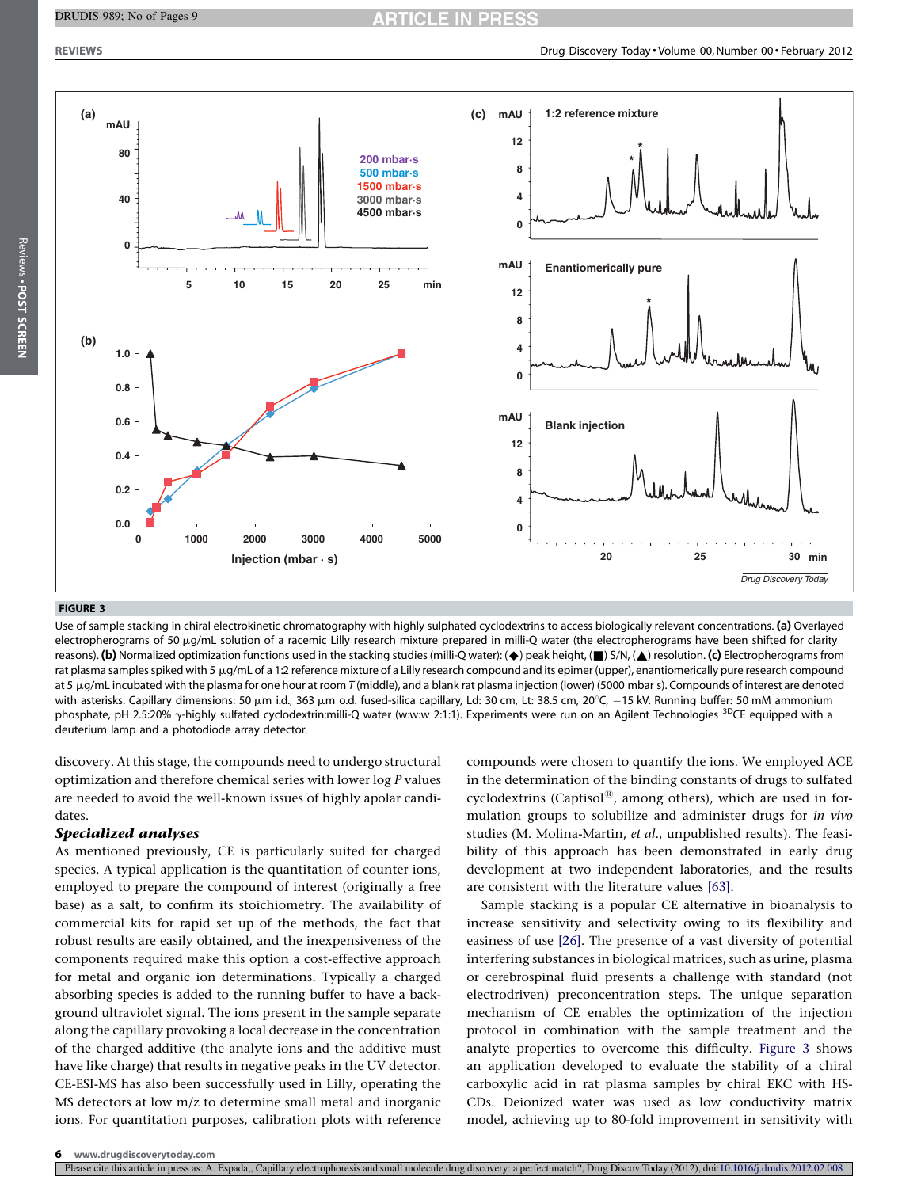<span id="page-5-0"></span>

FIGURE 3

Use of sample stacking in chiral electrokinetic chromatography with highly sulphated cyclodextrins to access biologically relevant concentrations. (a) Overlayed electropherograms of 50 µg/mL solution of a racemic Lilly research mixture prepared in milli-Q water (the electropherograms have been shifted for clarity reasons). (b) Normalized optimization functions used in the stacking studies (milli-Q water): (◆) peak height, (■) S/N, (▲) resolution. (c) Electropherograms from rat plasma samples spiked with 5 µg/mL of a 1:2 reference mixture of a Lilly research compound and its epimer (upper), enantiomerically pure research compound at 5  $\mu$ g/mL incubated with the plasma for one hour at room T (middle), and a blank rat plasma injection (lower) (5000 mbar s). Compounds of interest are denoted with asterisks. Capillary dimensions: 50 µm i.d., 363 µm o.d. fused-silica capillary, Ld: 30 cm, Lt: 38.5 cm, 20°C, -15 kV. Running buffer: 50 mM ammonium phosphate, pH 2.5:20% y-highly sulfated cyclodextrin:milli-Q water (w:w:w 2:1:1). Experiments were run on an Agilent Technologies <sup>3D</sup>CE equipped with a deuterium lamp and a photodiode array detector.

discovery. At this stage, the compounds need to undergo structural optimization and therefore chemical series with lower log P values are needed to avoid the well-known issues of highly apolar candidates.

#### Specialized analyses

As mentioned previously, CE is particularly suited for charged species. A typical application is the quantitation of counter ions, employed to prepare the compound of interest (originally a free base) as a salt, to confirm its stoichiometry. The availability of commercial kits for rapid set up of the methods, the fact that robust results are easily obtained, and the inexpensiveness of the components required make this option a cost-effective approach for metal and organic ion determinations. Typically a charged absorbing species is added to the running buffer to have a background ultraviolet signal. The ions present in the sample separate along the capillary provoking a local decrease in the concentration of the charged additive (the analyte ions and the additive must have like charge) that results in negative peaks in the UV detector. CE-ESI-MS has also been successfully used in Lilly, operating the MS detectors at low m/z to determine small metal and inorganic ions. For quantitation purposes, calibration plots with reference

compounds were chosen to quantify the ions. We employed ACE in the determination of the binding constants of drugs to sulfated cyclodextrins (Captisol<sup>®</sup>, among others), which are used in formulation groups to solubilize and administer drugs for in vivo studies (M. Molina-Martin, et al., unpublished results). The feasibility of this approach has been demonstrated in early drug development at two independent laboratories, and the results are consistent with the literature values [\[63\]](#page-8-0).

Sample stacking is a popular CE alternative in bioanalysis to increase sensitivity and selectivity owing to its flexibility and easiness of use [\[26\]](#page-7-0). The presence of a vast diversity of potential interfering substances in biological matrices, such as urine, plasma or cerebrospinal fluid presents a challenge with standard (not electrodriven) preconcentration steps. The unique separation mechanism of CE enables the optimization of the injection protocol in combination with the sample treatment and the analyte properties to overcome this difficulty. Figure 3 shows an application developed to evaluate the stability of a chiral carboxylic acid in rat plasma samples by chiral EKC with HS-CDs. Deionized water was used as low conductivity matrix model, achieving up to 80-fold improvement in sensitivity with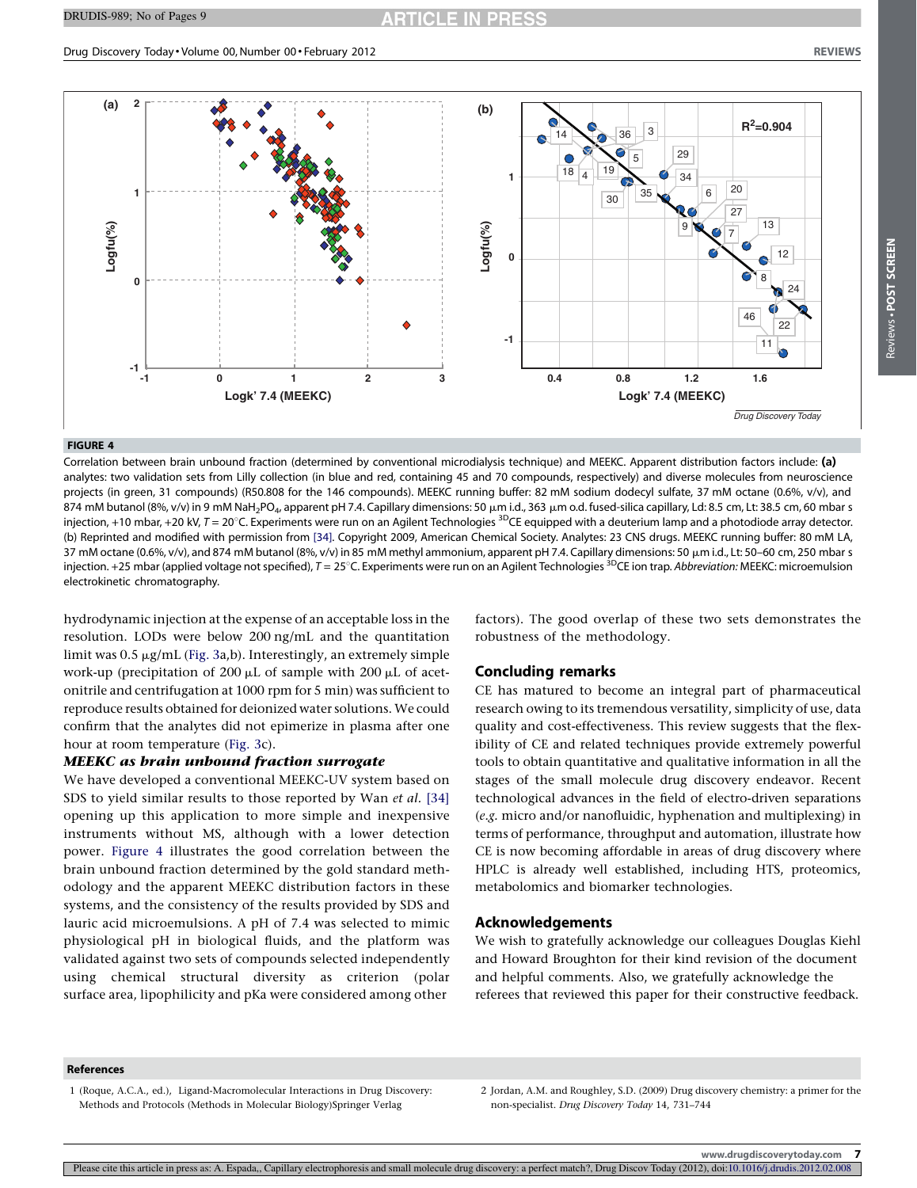<span id="page-6-0"></span>



#### FIGURE 4

Correlation between brain unbound fraction (determined by conventional microdialysis technique) and MEEKC. Apparent distribution factors include: (a) analytes: two validation sets from Lilly collection (in blue and red, containing 45 and 70 compounds, respectively) and diverse molecules from neuroscience projects (in green, 31 compounds) (R50.808 for the 146 compounds). MEEKC running buffer: 82 mM sodium dodecyl sulfate, 37 mM octane (0.6%, v/v), and 874 mM butanol (8%, v/v) in 9 mM NaH<sub>2</sub>PO<sub>4</sub>, apparent pH 7.4. Capillary dimensions: 50  $\mu$ m i.d., 363  $\mu$ m o.d. fused-silica capillary, Ld: 8.5 cm, Lt: 38.5 cm, 60 mbar s injection, +10 mbar, +20 kV,  $T = 20^{\circ}$ C. Experiments were run on an Agilent Technologies <sup>3D</sup>CE equipped with a deuterium lamp and a photodiode array detector. (b) Reprinted and modified with permission from [\[34\].](#page-7-0) Copyright 2009, American Chemical Society. Analytes: 23 CNS drugs. MEEKC running buffer: 80 mM LA, 37 mM octane (0.6%, v/v), and 874 mM butanol (8%, v/v) in 85 mM methyl ammonium, apparent pH 7.4. Capillary dimensions: 50 µm i.d., Lt: 50-60 cm, 250 mbar s injection. +25 mbar (applied voltage not specified),  $T = 25^{\circ}$ C. Experiments were run on an Agilent Technologies <sup>3D</sup>CE ion trap. Abbreviation: MEEKC: microemulsion electrokinetic chromatography.

hydrodynamic injection at the expense of an acceptable loss in the resolution. LODs were below 200 ng/mL and the quantitation limit was  $0.5 \mu g/mL$  ([Fig.](#page-5-0) 3a,b). Interestingly, an extremely simple work-up (precipitation of 200  $\mu$ L of sample with 200  $\mu$ L of acetonitrile and centrifugation at 1000 rpm for 5 min) was sufficient to reproduce results obtained for deionized water solutions. We could confirm that the analytes did not epimerize in plasma after one hour at room temperature ([Fig.](#page-5-0) 3c).

#### MEEKC as brain unbound fraction surrogate

We have developed a conventional MEEKC-UV system based on SDS to yield similar results to those reported by Wan et al. [\[34\]](#page-7-0) opening up this application to more simple and inexpensive instruments without MS, although with a lower detection power. Figure 4 illustrates the good correlation between the brain unbound fraction determined by the gold standard methodology and the apparent MEEKC distribution factors in these systems, and the consistency of the results provided by SDS and lauric acid microemulsions. A pH of 7.4 was selected to mimic physiological pH in biological fluids, and the platform was validated against two sets of compounds selected independently using chemical structural diversity as criterion (polar surface area, lipophilicity and pKa were considered among other

factors). The good overlap of these two sets demonstrates the robustness of the methodology.

#### Concluding remarks

CE has matured to become an integral part of pharmaceutical research owing to its tremendous versatility, simplicity of use, data quality and cost-effectiveness. This review suggests that the flexibility of CE and related techniques provide extremely powerful tools to obtain quantitative and qualitative information in all the stages of the small molecule drug discovery endeavor. Recent technological advances in the field of electro-driven separations (e.g. micro and/or nanofluidic, hyphenation and multiplexing) in terms of performance, throughput and automation, illustrate how CE is now becoming affordable in areas of drug discovery where HPLC is already well established, including HTS, proteomics, metabolomics and biomarker technologies.

#### Acknowledgements

We wish to gratefully acknowledge our colleagues Douglas Kiehl and Howard Broughton for their kind revision of the document and helpful comments. Also, we gratefully acknowledge the referees that reviewed this paper for their constructive feedback.

#### References

1 (Roque, A.C.A., ed.), Ligand-Macromolecular Interactions in Drug Discovery: Methods and Protocols (Methods in Molecular Biology)Springer Verlag

<sup>2</sup> Jordan, A.M. and Roughley, S.D. (2009) Drug discovery chemistry: a primer for the non-specialist. Drug Discovery Today 14, 731–744

Please cite this article in press as: A. Espada,, Capillary electrophoresis and small molecule drug discovery: a perfect match?, Drug Discov Today (2012), doi[:10.1016/j.drudis.2012.02.008](http://dx.doi.org/10.1016/j.drudis.2012.02.008)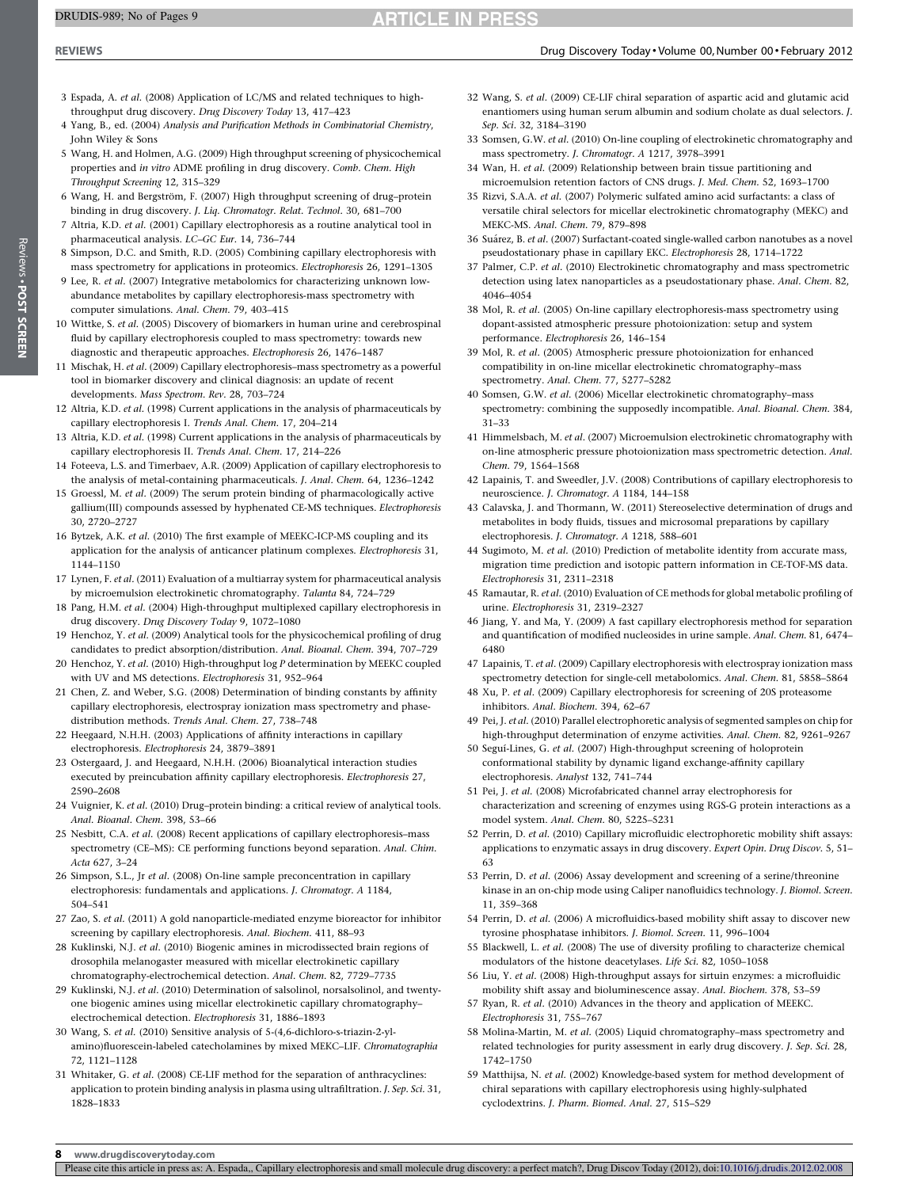#### <span id="page-7-0"></span>DRUDIS-989; No of Pages 9

## **RTICLE IN PRESS**

- throughput drug discovery. Drug Discovery Today 13, 417–423 4 Yang, B., ed. (2004) Analysis and Purification Methods in Combinatorial Chemistry,
- John Wiley & Sons
- 5 Wang, H. and Holmen, A.G. (2009) High throughput screening of physicochemical properties and in vitro ADME profiling in drug discovery. Comb. Chem. High Throughput Screening 12, 315–329
- 6 Wang, H. and Bergström, F. (2007) High throughput screening of drug-protein binding in drug discovery. J. Liq. Chromatogr. Relat. Technol. 30, 681–700
- 7 Altria, K.D. et al. (2001) Capillary electrophoresis as a routine analytical tool in pharmaceutical analysis. LC–GC Eur. 14, 736–744
- 8 Simpson, D.C. and Smith, R.D. (2005) Combining capillary electrophoresis with mass spectrometry for applications in proteomics. Electrophoresis 26, 1291–1305
- 9 Lee, R. et al. (2007) Integrative metabolomics for characterizing unknown lowabundance metabolites by capillary electrophoresis-mass spectrometry with computer simulations. Anal. Chem. 79, 403–415
- 10 Wittke, S. et al. (2005) Discovery of biomarkers in human urine and cerebrospinal fluid by capillary electrophoresis coupled to mass spectrometry: towards new diagnostic and therapeutic approaches. Electrophoresis 26, 1476–1487
- 11 Mischak, H. et al. (2009) Capillary electrophoresis–mass spectrometry as a powerful tool in biomarker discovery and clinical diagnosis: an update of recent developments. Mass Spectrom. Rev. 28, 703–724
- 12 Altria, K.D. et al. (1998) Current applications in the analysis of pharmaceuticals by capillary electrophoresis I. Trends Anal. Chem. 17, 204–214
- 13 Altria, K.D. et al. (1998) Current applications in the analysis of pharmaceuticals by capillary electrophoresis II. Trends Anal. Chem. 17, 214–226
- 14 Foteeva, L.S. and Timerbaev, A.R. (2009) Application of capillary electrophoresis to the analysis of metal-containing pharmaceuticals. J. Anal. Chem. 64, 1236–1242
- 15 Groessl, M. et al. (2009) The serum protein binding of pharmacologically active gallium(III) compounds assessed by hyphenated CE-MS techniques. Electrophoresis 30, 2720–2727
- 16 Bytzek, A.K. et al. (2010) The first example of MEEKC-ICP-MS coupling and its application for the analysis of anticancer platinum complexes. Electrophoresis 31, 1144–1150
- 17 Lynen, F. et al. (2011) Evaluation of a multiarray system for pharmaceutical analysis by microemulsion electrokinetic chromatography. Talanta 84, 724–729
- 18 Pang, H.M. et al. (2004) High-throughput multiplexed capillary electrophoresis in drug discovery. Drug Discovery Today 9, 1072–1080
- 19 Henchoz, Y. et al. (2009) Analytical tools for the physicochemical profiling of drug candidates to predict absorption/distribution. Anal. Bioanal. Chem. 394, 707–729
- 20 Henchoz, Y. et al. (2010) High-throughput log P determination by MEEKC coupled with UV and MS detections. Electrophoresis 31, 952–964
- 21 Chen, Z. and Weber, S.G. (2008) Determination of binding constants by affinity capillary electrophoresis, electrospray ionization mass spectrometry and phasedistribution methods. Trends Anal. Chem. 27, 738–748
- 22 Heegaard, N.H.H. (2003) Applications of affinity interactions in capillary electrophoresis. Electrophoresis 24, 3879–3891
- 23 Ostergaard, J. and Heegaard, N.H.H. (2006) Bioanalytical interaction studies executed by preincubation affinity capillary electrophoresis. Electrophoresis 27, 2590–2608
- 24 Vuignier, K. et al. (2010) Drug–protein binding: a critical review of analytical tools. Anal. Bioanal. Chem. 398, 53–66
- 25 Nesbitt, C.A. et al. (2008) Recent applications of capillary electrophoresis–mass spectrometry (CE–MS): CE performing functions beyond separation. Anal. Chim. Acta 627, 3–24
- 26 Simpson, S.L., Jr et al. (2008) On-line sample preconcentration in capillary electrophoresis: fundamentals and applications. J. Chromatogr. A 1184, 504–541
- 27 Zao, S. et al. (2011) A gold nanoparticle-mediated enzyme bioreactor for inhibitor screening by capillary electrophoresis. Anal. Biochem. 411, 88–93
- 28 Kuklinski, N.J. et al. (2010) Biogenic amines in microdissected brain regions of drosophila melanogaster measured with micellar electrokinetic capillary chromatography-electrochemical detection. Anal. Chem. 82, 7729–7735
- 29 Kuklinski, N.J. et al. (2010) Determination of salsolinol, norsalsolinol, and twentyone biogenic amines using micellar electrokinetic capillary chromatography– electrochemical detection. Electrophoresis 31, 1886–1893
- 30 Wang, S. et al. (2010) Sensitive analysis of 5-(4,6-dichloro-s-triazin-2-ylamino)fluorescein-labeled catecholamines by mixed MEKC–LIF. Chromatographia 72, 1121–1128
- 31 Whitaker, G. et al. (2008) CE-LIF method for the separation of anthracyclines: application to protein binding analysis in plasma using ultrafiltration. J. Sep. Sci. 31, 1828–1833
- 32 Wang, S. et al. (2009) CE-LIF chiral separation of aspartic acid and glutamic acid enantiomers using human serum albumin and sodium cholate as dual selectors. J. Sep. Sci. 32, 3184–3190
- 33 Somsen, G.W. et al. (2010) On-line coupling of electrokinetic chromatography and mass spectrometry. J. Chromatogr. A 1217, 3978–3991
- 34 Wan, H. et al. (2009) Relationship between brain tissue partitioning and microemulsion retention factors of CNS drugs. J. Med. Chem. 52, 1693–1700
- 35 Rizvi, S.A.A. et al. (2007) Polymeric sulfated amino acid surfactants: a class of versatile chiral selectors for micellar electrokinetic chromatography (MEKC) and MEKC-MS. Anal. Chem. 79, 879–898
- 36 Suárez, B. et al. (2007) Surfactant-coated single-walled carbon nanotubes as a novel pseudostationary phase in capillary EKC. Electrophoresis 28, 1714–1722
- 37 Palmer, C.P. et al. (2010) Electrokinetic chromatography and mass spectrometric detection using latex nanoparticles as a pseudostationary phase. Anal. Chem. 82, 4046–4054
- 38 Mol, R. et al. (2005) On-line capillary electrophoresis-mass spectrometry using dopant-assisted atmospheric pressure photoionization: setup and system performance. Electrophoresis 26, 146–154
- 39 Mol, R. et al. (2005) Atmospheric pressure photoionization for enhanced compatibility in on-line micellar electrokinetic chromatography–mass spectrometry. Anal. Chem. 77, 5277–5282
- 40 Somsen, G.W. et al. (2006) Micellar electrokinetic chromatography–mass spectrometry: combining the supposedly incompatible. Anal. Bioanal. Chem. 384, 31–33
- 41 Himmelsbach, M. et al. (2007) Microemulsion electrokinetic chromatography with on-line atmospheric pressure photoionization mass spectrometric detection. Anal. Chem. 79, 1564–1568
- 42 Lapainis, T. and Sweedler, J.V. (2008) Contributions of capillary electrophoresis to neuroscience. J. Chromatogr. A 1184, 144–158
- 43 Calavska, J. and Thormann, W. (2011) Stereoselective determination of drugs and metabolites in body fluids, tissues and microsomal preparations by capillary electrophoresis. J. Chromatogr. A 1218, 588–601
- 44 Sugimoto, M. et al. (2010) Prediction of metabolite identity from accurate mass, migration time prediction and isotopic pattern information in CE-TOF-MS data. Electrophoresis 31, 2311–2318
- 45 Ramautar, R. et al. (2010) Evaluation of CE methods for global metabolic profiling of urine. Electrophoresis 31, 2319–2327
- 46 Jiang, Y. and Ma, Y. (2009) A fast capillary electrophoresis method for separation and quantification of modified nucleosides in urine sample. Anal. Chem. 81, 6474– 6480
- 47 Lapainis, T. et al. (2009) Capillary electrophoresis with electrospray ionization mass spectrometry detection for single-cell metabolomics. Anal. Chem. 81, 5858–5864
- 48 Xu, P. et al. (2009) Capillary electrophoresis for screening of 20S proteasome inhibitors. Anal. Biochem. 394, 62–67
- 49 Pei, J. et al. (2010) Parallel electrophoretic analysis of segmented samples on chip for high-throughput determination of enzyme activities. Anal. Chem. 82, 9261–9267
- 50 Seguí-Lines, G. et al. (2007) High-throughput screening of holoprotein conformational stability by dynamic ligand exchange-affinity capillary electrophoresis. Analyst 132, 741–744
- 51 Pei, J. et al. (2008) Microfabricated channel array electrophoresis for characterization and screening of enzymes using RGS-G protein interactions as a model system. Anal. Chem. 80, 5225–5231
- 52 Perrin, D. et al. (2010) Capillary microfluidic electrophoretic mobility shift assays: applications to enzymatic assays in drug discovery. Expert Opin. Drug Discov. 5, 51– 63
- 53 Perrin, D. et al. (2006) Assay development and screening of a serine/threonine kinase in an on-chip mode using Caliper nanofluidics technology. J. Biomol. Screen. 11, 359–368
- 54 Perrin, D. et al. (2006) A microfluidics-based mobility shift assay to discover new tyrosine phosphatase inhibitors. J. Biomol. Screen. 11, 996–1004
- 55 Blackwell, L. et al. (2008) The use of diversity profiling to characterize chemical modulators of the histone deacetylases. Life Sci. 82, 1050–1058
- 56 Liu, Y. et al. (2008) High-throughput assays for sirtuin enzymes: a microfluidic mobility shift assay and bioluminescence assay. Anal. Biochem. 378, 53–59
- 57 Ryan, R. et al. (2010) Advances in the theory and application of MEEKC. Electrophoresis 31, 755–767
- 58 Molina-Martin, M. et al. (2005) Liquid chromatography–mass spectrometry and related technologies for purity assessment in early drug discovery. J. Sep. Sci. 28, 1742–1750
- 59 Matthijsa, N. et al. (2002) Knowledge-based system for method development of chiral separations with capillary electrophoresis using highly-sulphated cyclodextrins. J. Pharm. Biomed. Anal. 27, 515–529

8 www.drugdiscoverytoday.com

Please cite this article in press as: A. Espada,, Capillary electrophoresis and small molecule drug discovery: a perfect match?, Drug Discov Today (2012), doi:[10.1016/j.drudis.2012.02.008](http://dx.doi.org/10.1016/j.drudis.2012.02.008)